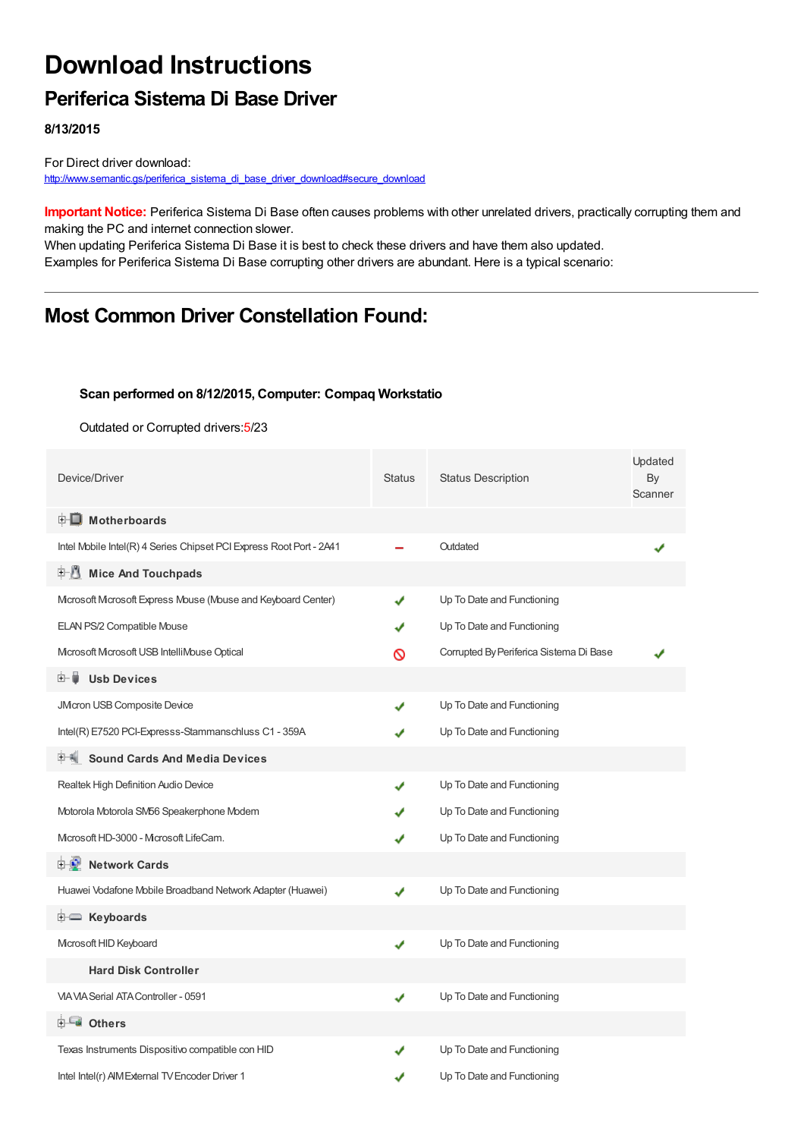# **Download Instructions**

### **Periferica Sistema Di Base Driver**

**8/13/2015**

For Direct driver download: [http://www.semantic.gs/periferica\\_sistema\\_di\\_base\\_driver\\_download#secure\\_download](http://www.semantic.gs/periferica_sistema_di_base_driver_download#secure_download)

**Important Notice:** Periferica Sistema Di Base often causes problems with other unrelated drivers, practically corrupting them and making the PC and internet connection slower.

When updating Periferica Sistema Di Base it is best to check these drivers and have them also updated. Examples for Periferica Sistema Di Base corrupting other drivers are abundant. Here is a typical scenario:

### **Most Common Driver Constellation Found:**

#### **Scan performed on 8/12/2015, Computer: Compaq Workstatio**

Outdated or Corrupted drivers:5/23

| Device/Driver                                                       | <b>Status</b> | <b>Status Description</b>               | Updated<br>By<br>Scanner |
|---------------------------------------------------------------------|---------------|-----------------------------------------|--------------------------|
| <b>E</b> Motherboards                                               |               |                                         |                          |
| Intel Mobile Intel(R) 4 Series Chipset PCI Express Root Port - 2A41 |               | Outdated                                |                          |
| <b>Mice And Touchpads</b><br>E-11                                   |               |                                         |                          |
| Microsoft Microsoft Express Mbuse (Mouse and Keyboard Center)       |               | Up To Date and Functioning              |                          |
| ELAN PS/2 Compatible Mouse                                          |               | Up To Date and Functioning              |                          |
| Microsoft Microsoft USB IntelliMouse Optical                        | ര             | Corrupted By Periferica Sistema Di Base |                          |
| <b>Usb Devices</b><br>⊞‴⊌                                           |               |                                         |                          |
| JMcron USB Composite Device                                         |               | Up To Date and Functioning              |                          |
| Intel(R) E7520 PCI-Expresss-Stammanschluss C1 - 359A                |               | Up To Date and Functioning              |                          |
| <b>Sound Cards And Media Devices</b>                                |               |                                         |                          |
| Realtek High Definition Audio Device                                |               | Up To Date and Functioning              |                          |
| Motorola Motorola SM56 Speakerphone Modem                           |               | Up To Date and Functioning              |                          |
| Microsoft HD-3000 - Microsoft LifeCam.                              |               | Up To Date and Functioning              |                          |
| <b>E</b> Network Cards                                              |               |                                         |                          |
| Huawei Vodafone Mobile Broadband Network Adapter (Huawei)           |               | Up To Date and Functioning              |                          |
| <b>E</b> Keyboards                                                  |               |                                         |                          |
| Microsoft HID Keyboard                                              | ✔             | Up To Date and Functioning              |                          |
| <b>Hard Disk Controller</b>                                         |               |                                         |                          |
| VIA VIA Serial ATA Controller - 0591                                | ✔             | Up To Date and Functioning              |                          |
| <b>E</b> Others                                                     |               |                                         |                          |
| Texas Instruments Dispositivo compatible con HID                    |               | Up To Date and Functioning              |                          |
| Intel Intel(r) AIM External TV Encoder Driver 1                     |               | Up To Date and Functioning              |                          |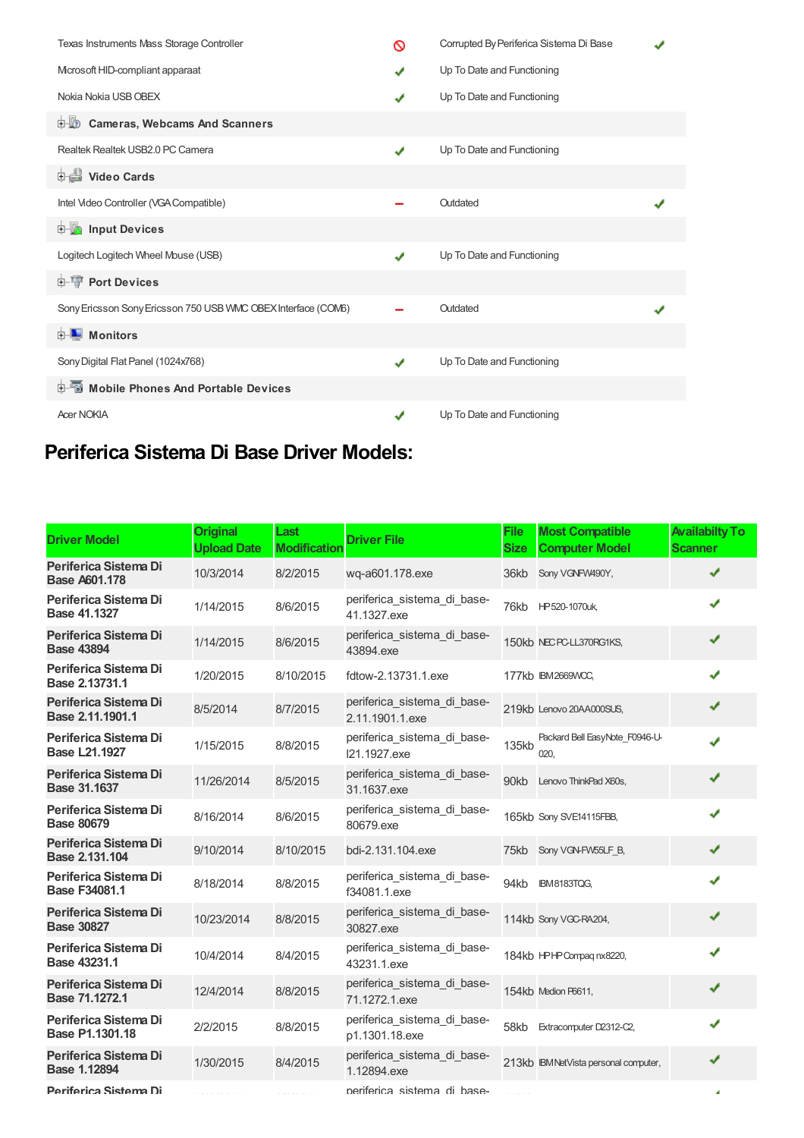| Texas Instruments Mass Storage Controller                     | ര            | Corrupted By Periferica Sistema Di Base |  |
|---------------------------------------------------------------|--------------|-----------------------------------------|--|
| Mcrosoft HID-compliant apparaat                               | ✔            | Up To Date and Functioning              |  |
| Nokia Nokia USB OBEX                                          | J            | Up To Date and Functioning              |  |
| <b>D</b> Cameras, Webcams And Scanners                        |              |                                         |  |
| Realtek Realtek USB2.0 PC Camera                              | J            | Up To Date and Functioning              |  |
| Video Cards                                                   |              |                                         |  |
| Intel Video Controller (VGA Compatible)                       |              | Outdated                                |  |
| <b>Devices</b> Input Devices                                  |              |                                         |  |
| Logitech Logitech Wheel Mouse (USB)                           | ✔            | Up To Date and Functioning              |  |
| <b>E-TP</b> Port Devices                                      |              |                                         |  |
| Sony Ericsson Sony Ericsson 750 USB VMC OBEX Interface (COM6) |              | Outdated                                |  |
| <b>E</b> Monitors                                             |              |                                         |  |
| Sony Digital Flat Panel (1024x768)                            | $\checkmark$ | Up To Date and Functioning              |  |
| <b>E-</b> Mobile Phones And Portable Devices                  |              |                                         |  |
| <b>Acer NOKIA</b>                                             |              | Up To Date and Functioning              |  |

## **Periferica Sistema Di Base Driver Models:**

| <b>Driver Model</b>                           | <b>Original</b><br><b>Upload Date</b> | Last<br><b>Modification</b> | <b>Driver File</b>                             | <b>File</b><br><b>Size</b> | <b>Most Compatible</b><br><b>Computer Model</b> | <b>Availabilty To</b><br><b>Scanner</b> |
|-----------------------------------------------|---------------------------------------|-----------------------------|------------------------------------------------|----------------------------|-------------------------------------------------|-----------------------------------------|
| Periferica Sistema Di<br><b>Base A601.178</b> | 10/3/2014                             | 8/2/2015                    | wq-a601.178.exe                                | 36kb                       | Sony VGNFW490Y,                                 | ✔                                       |
| Periferica Sistema Di<br><b>Base 41.1327</b>  | 1/14/2015                             | 8/6/2015                    | periferica sistema di base-<br>41.1327.exe     |                            | 76kb HP520-1070uk,                              | ✔                                       |
| Periferica Sistema Di<br><b>Base 43894</b>    | 1/14/2015                             | 8/6/2015                    | periferica sistema di base-<br>43894.exe       |                            | 150kb NEC PC-LL370RG1KS,                        | ✔                                       |
| Periferica Sistema Di<br>Base 2.13731.1       | 1/20/2015                             | 8/10/2015                   | fdtow-2.13731.1.exe                            |                            | 177kb IBM2669WCC,                               | ✔                                       |
| Periferica Sistema Di<br>Base 2.11.1901.1     | 8/5/2014                              | 8/7/2015                    | periferica sistema di base-<br>2.11.1901.1.exe |                            | 219kb Lenovo 20AA000SUS,                        | ✔                                       |
| Periferica Sistema Di<br><b>Base L21.1927</b> | 1/15/2015                             | 8/8/2015                    | periferica_sistema_di_base-<br>121.1927.exe    | 135kb                      | Packard Bell EasyNote F0946-U-<br>020.          | ✔                                       |
| Periferica Sistema Di<br><b>Base 31.1637</b>  | 11/26/2014                            | 8/5/2015                    | periferica_sistema_di_base-<br>31.1637.exe     |                            | 90kb Lenovo ThinkPad X60s,                      | ✔                                       |
| Periferica Sistema Di<br><b>Base 80679</b>    | 8/16/2014                             | 8/6/2015                    | periferica sistema di base-<br>80679.exe       |                            | 165kb Sony SVE14115FBB,                         | ✔                                       |
| Periferica Sistema Di<br>Base 2.131.104       | 9/10/2014                             | 8/10/2015                   | bdi-2.131.104.exe                              | 75kb                       | Sony VGN-FW55LF B,                              | ✔                                       |
| Periferica Sistema Di<br><b>Base F34081.1</b> | 8/18/2014                             | 8/8/2015                    | periferica sistema di base-<br>f34081.1.exe    | 94kb                       | <b>IBM8183TQG,</b>                              | ✔                                       |
| Periferica Sistema Di<br><b>Base 30827</b>    | 10/23/2014                            | 8/8/2015                    | periferica_sistema_di_base-<br>30827.exe       |                            | 114kb Sony VGC-RA204,                           | ✔                                       |
| Periferica Sistema Di<br>Base 43231.1         | 10/4/2014                             | 8/4/2015                    | periferica_sistema_di_base-<br>43231.1.exe     |                            | 184kb HPHP Compag nx8220,                       | ✔                                       |
| Periferica Sistema Di<br>Base 71.1272.1       | 12/4/2014                             | 8/8/2015                    | periferica sistema di base-<br>71.1272.1.exe   |                            | 154kb Medion P6611,                             | ✔                                       |
| Periferica Sistema Di<br>Base P1.1301.18      | 2/2/2015                              | 8/8/2015                    | periferica_sistema_di_base-<br>p1.1301.18.exe  | 58kb                       | Extracomputer D2312-C2,                         | ✔                                       |
| Periferica Sistema Di<br>Base 1.12894         | 1/30/2015                             | 8/4/2015                    | periferica_sistema_di_base-<br>1.12894.exe     |                            | 213kb IBM NetVista personal computer,           | ✔                                       |
| Periferica Sistema Di                         |                                       |                             | periferica sistema di base-                    |                            |                                                 | ٠                                       |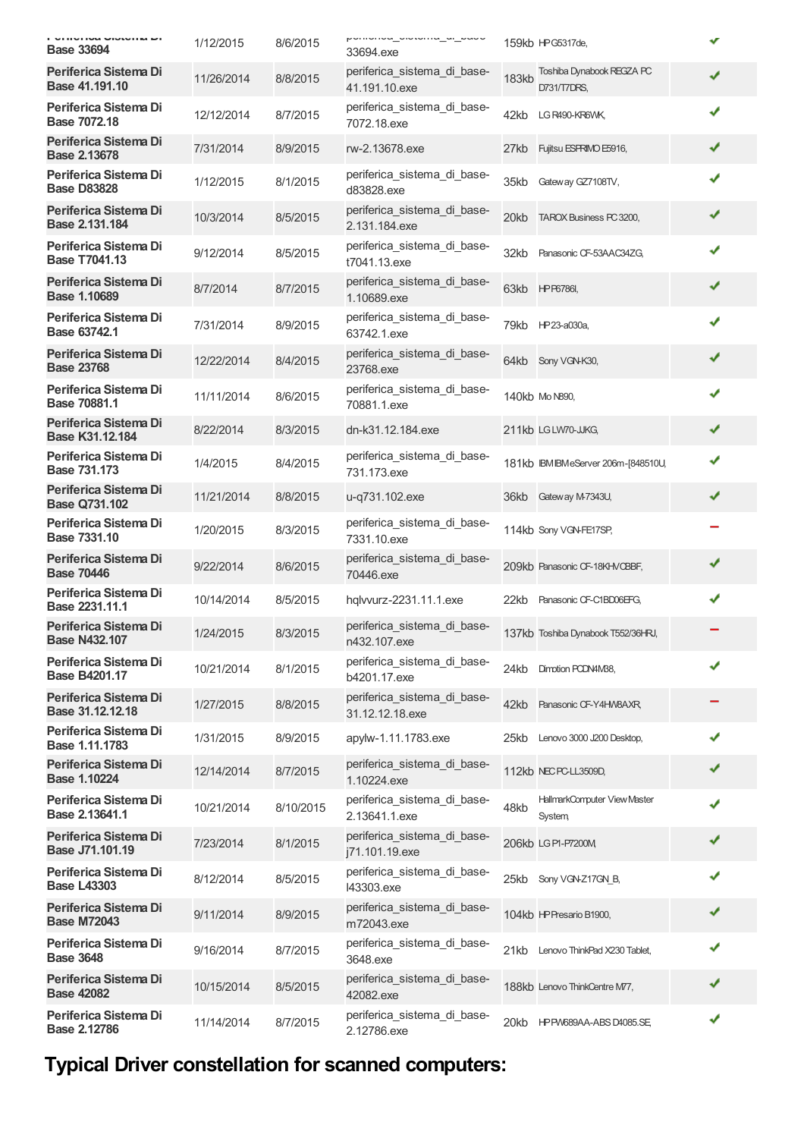| VITIVITVA VIOLVITA MI<br><b>Base 33694</b>    | 1/12/2015  | 8/6/2015  | pomonou_orotomu_u_u_puou<br>33694.exe          |              | 159kb HPG5317de,                              | ✔ |
|-----------------------------------------------|------------|-----------|------------------------------------------------|--------------|-----------------------------------------------|---|
| Periferica Sistema Di<br>Base 41.191.10       | 11/26/2014 | 8/8/2015  | periferica_sistema_di_base-<br>41.191.10.exe   | <b>183kb</b> | Toshiba Dynabook REGZA PC<br>D731/T7DRS,      | ✔ |
| Periferica Sistema Di<br>Base 7072.18         | 12/12/2014 | 8/7/2015  | periferica sistema di base-<br>7072.18.exe     | 42kb         | LG R490-KR6WK                                 | ✔ |
| Periferica Sistema Di<br><b>Base 2.13678</b>  | 7/31/2014  | 8/9/2015  | rw-2.13678.exe                                 | 27kb         | Fujitsu ESPRIMO E5916,                        | ✔ |
| Periferica Sistema Di<br><b>Base D83828</b>   | 1/12/2015  | 8/1/2015  | periferica_sistema_di_base-<br>d83828.exe      | 35kb         | Gateway GZ7108TV,                             | ✔ |
| Periferica Sistema Di<br>Base 2.131.184       | 10/3/2014  | 8/5/2015  | periferica_sistema_di_base-<br>2.131.184.exe   | 20kb         | TAROX Business PC 3200,                       | ✔ |
| Periferica Sistema Di<br><b>Base T7041.13</b> | 9/12/2014  | 8/5/2015  | periferica_sistema_di_base-<br>t7041.13.exe    | 32kb         | Panasonic CF-53AAC34ZG,                       | ✔ |
| Periferica Sistema Di<br><b>Base 1.10689</b>  | 8/7/2014   | 8/7/2015  | periferica_sistema_di_base-<br>1.10689.exe     |              | 63kb HPP6786l,                                | ✔ |
| Periferica Sistema Di<br>Base 63742.1         | 7/31/2014  | 8/9/2015  | periferica_sistema_di_base-<br>63742.1.exe     |              | 79kb HP23-a030a,                              | ✔ |
| Periferica Sistema Di<br><b>Base 23768</b>    | 12/22/2014 | 8/4/2015  | periferica_sistema_di_base-<br>23768.exe       |              | 64kb Sony VGN-K30,                            | ✔ |
| Periferica Sistema Di<br>Base 70881.1         | 11/11/2014 | 8/6/2015  | periferica_sistema_di_base-<br>70881.1.exe     |              | 140kb Mo N890,                                | ✔ |
| Periferica Sistema Di<br>Base K31.12.184      | 8/22/2014  | 8/3/2015  | dn-k31.12.184.exe                              |              | 211kb LGLW70-JJKG,                            | ✔ |
| Periferica Sistema Di<br><b>Base 731.173</b>  | 1/4/2015   | 8/4/2015  | periferica sistema di base-<br>731.173.exe     |              | 181kb IBMIBMeServer 206m-[848510U,            | ✔ |
| Periferica Sistema Di<br><b>Base Q731.102</b> | 11/21/2014 | 8/8/2015  | u-q731.102.exe                                 |              | 36kb Gateway M-7343U,                         | ✔ |
| Periferica Sistema Di<br>Base 7331.10         | 1/20/2015  | 8/3/2015  | periferica_sistema_di_base-<br>7331.10.exe     |              | 114kb Sony VGN-FE17SP,                        |   |
| Periferica Sistema Di<br><b>Base 70446</b>    | 9/22/2014  | 8/6/2015  | periferica_sistema_di_base-<br>70446.exe       |              | 209kb Panasonic CF-18KHVCBBF,                 | ✔ |
| Periferica Sistema Di<br>Base 2231.11.1       | 10/14/2014 | 8/5/2015  | hqlvvurz-2231.11.1.exe                         | 22kb         | Panasonic CF-C1BD06EFG,                       | ✔ |
| Periferica Sistema Di<br><b>Base N432.107</b> | 1/24/2015  | 8/3/2015  | periferica sistema di base-<br>n432.107.exe    |              | 137kb Toshiba Dynabook T552/36HRJ,            |   |
| Periferica Sistema Di<br><b>Base B4201.17</b> | 10/21/2014 | 8/1/2015  | periferica_sistema_di_base-<br>b4201.17.exe    | 24kb         | Dimotion PODN4M88,                            | ✔ |
| Periferica Sistema Di<br>Base 31.12.12.18     | 1/27/2015  | 8/8/2015  | periferica sistema di base-<br>31.12.12.18.exe | 42kb         | Panasonic CF-Y4HW8AXR,                        |   |
| Periferica Sistema Di<br>Base 1.11.1783       | 1/31/2015  | 8/9/2015  | apylw-1.11.1783.exe                            |              | 25kb Lenovo 3000 J200 Desktop,                | ✔ |
| Periferica Sistema Di<br><b>Base 1.10224</b>  | 12/14/2014 | 8/7/2015  | periferica_sistema_di_base-<br>1.10224.exe     |              | 112kb NEC PC-LL3509D,                         | ✔ |
| Periferica Sistema Di<br>Base 2.13641.1       | 10/21/2014 | 8/10/2015 | periferica_sistema_di_base-<br>2.13641.1.exe   | 48kb         | HallmarkComputer View Master<br><b>System</b> | ✔ |
| Periferica Sistema Di<br>Base J71.101.19      | 7/23/2014  | 8/1/2015  | periferica_sistema_di_base-<br>i71.101.19.exe  |              | 206kb LGP1-P7200M                             | ✔ |
| Periferica Sistema Di<br><b>Base L43303</b>   | 8/12/2014  | 8/5/2015  | periferica_sistema_di_base-<br>143303.exe      |              | 25kb Sony VGN-Z17GN B,                        |   |
| Periferica Sistema Di<br><b>Base M72043</b>   | 9/11/2014  | 8/9/2015  | periferica_sistema_di_base-<br>m72043.exe      |              | 104kb HP Presario B1900,                      |   |
| Periferica Sistema Di<br><b>Base 3648</b>     | 9/16/2014  | 8/7/2015  | periferica_sistema_di_base-<br>3648.exe        | 21kb         | Lenovo ThinkPad X230 Tablet,                  | ✔ |
| Periferica Sistema Di<br><b>Base 42082</b>    | 10/15/2014 | 8/5/2015  | periferica_sistema_di_base-<br>42082.exe       |              | 188kb Lenovo ThinkCentre M77,                 | ✔ |
| Periferica Sistema Di<br>Base 2.12786         | 11/14/2014 | 8/7/2015  | periferica_sistema_di_base-<br>2.12786.exe     |              | 20kb HPPW689AA-ABSD4085.SE                    | ✔ |

## **Typical Driver constellation for scanned computers:**